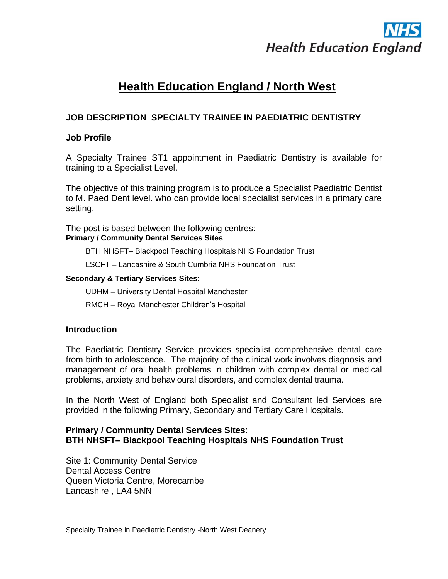

# **Health Education England / North West**

# **JOB DESCRIPTION SPECIALTY TRAINEE IN PAEDIATRIC DENTISTRY**

#### **Job Profile**

A Specialty Trainee ST1 appointment in Paediatric Dentistry is available for training to a Specialist Level.

The objective of this training program is to produce a Specialist Paediatric Dentist to M. Paed Dent level. who can provide local specialist services in a primary care setting.

The post is based between the following centres:- **Primary / Community Dental Services Sites**:

BTH NHSFT– Blackpool Teaching Hospitals NHS Foundation Trust

LSCFT – Lancashire & South Cumbria NHS Foundation Trust

#### **Secondary & Tertiary Services Sites:**

UDHM – University Dental Hospital Manchester

RMCH – Royal Manchester Children's Hospital

#### **Introduction**

The Paediatric Dentistry Service provides specialist comprehensive dental care from birth to adolescence. The majority of the clinical work involves diagnosis and management of oral health problems in children with complex dental or medical problems, anxiety and behavioural disorders, and complex dental trauma.

In the North West of England both Specialist and Consultant led Services are provided in the following Primary, Secondary and Tertiary Care Hospitals.

### **Primary / Community Dental Services Sites**: **BTH NHSFT– Blackpool Teaching Hospitals NHS Foundation Trust**

Site 1: Community Dental Service Dental Access Centre Queen Victoria Centre, Morecambe Lancashire , LA4 5NN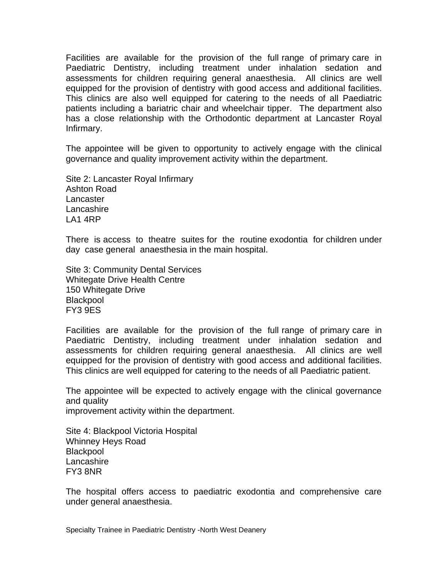Facilities are available for the provision of the full range of primary care in Paediatric Dentistry, including treatment under inhalation sedation and assessments for children requiring general anaesthesia. All clinics are well equipped for the provision of dentistry with good access and additional facilities. This clinics are also well equipped for catering to the needs of all Paediatric patients including a bariatric chair and wheelchair tipper. The department also has a close relationship with the Orthodontic department at Lancaster Royal Infirmary.

The appointee will be given to opportunity to actively engage with the clinical governance and quality improvement activity within the department.

Site 2: Lancaster Royal Infirmary Ashton Road Lancaster Lancashire LA1 4RP

There is access to theatre suites for the routine exodontia for children under day case general anaesthesia in the main hospital.

Site 3: Community Dental Services Whitegate Drive Health Centre 150 Whitegate Drive **Blackpool** FY3 9ES

Facilities are available for the provision of the full range of primary care in Paediatric Dentistry, including treatment under inhalation sedation and assessments for children requiring general anaesthesia. All clinics are well equipped for the provision of dentistry with good access and additional facilities. This clinics are well equipped for catering to the needs of all Paediatric patient.

The appointee will be expected to actively engage with the clinical governance and quality improvement activity within the department.

Site 4: Blackpool Victoria Hospital Whinney Heys Road **Blackpool** Lancashire FY3 8NR

The hospital offers access to paediatric exodontia and comprehensive care under general anaesthesia.

Specialty Trainee in Paediatric Dentistry -North West Deanery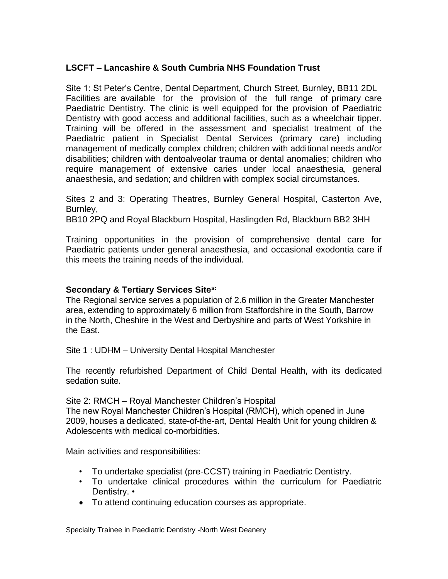# **LSCFT – Lancashire & South Cumbria NHS Foundation Trust**

Site 1: St Peter's Centre, Dental Department, Church Street, Burnley, BB11 2DL Facilities are available for the provision of the full range of primary care Paediatric Dentistry. The clinic is well equipped for the provision of Paediatric Dentistry with good access and additional facilities, such as a wheelchair tipper. Training will be offered in the assessment and specialist treatment of the Paediatric patient in Specialist Dental Services (primary care) including management of medically complex children; children with additional needs and/or disabilities; children with dentoalveolar trauma or dental anomalies; children who require management of extensive caries under local anaesthesia, general anaesthesia, and sedation; and children with complex social circumstances.

Sites 2 and 3: Operating Theatres, Burnley General Hospital, Casterton Ave, Burnley, BB10 2PQ and Royal Blackburn Hospital, Haslingden Rd, Blackburn BB2 3HH

Training opportunities in the provision of comprehensive dental care for Paediatric patients under general anaesthesia, and occasional exodontia care if this meets the training needs of the individual.

## **Secondary & Tertiary Services Sites:**

The Regional service serves a population of 2.6 million in the Greater Manchester area, extending to approximately 6 million from Staffordshire in the South, Barrow in the North, Cheshire in the West and Derbyshire and parts of West Yorkshire in the East.

Site 1 : UDHM – University Dental Hospital Manchester

The recently refurbished Department of Child Dental Health, with its dedicated sedation suite.

Site 2: RMCH – Royal Manchester Children's Hospital

The new Royal Manchester Children's Hospital (RMCH), which opened in June 2009, houses a dedicated, state-of-the-art, Dental Health Unit for young children & Adolescents with medical co-morbidities.

Main activities and responsibilities:

- To undertake specialist (pre-CCST) training in Paediatric Dentistry.
- To undertake clinical procedures within the curriculum for Paediatric Dentistry. •
- To attend continuing education courses as appropriate.

Specialty Trainee in Paediatric Dentistry -North West Deanery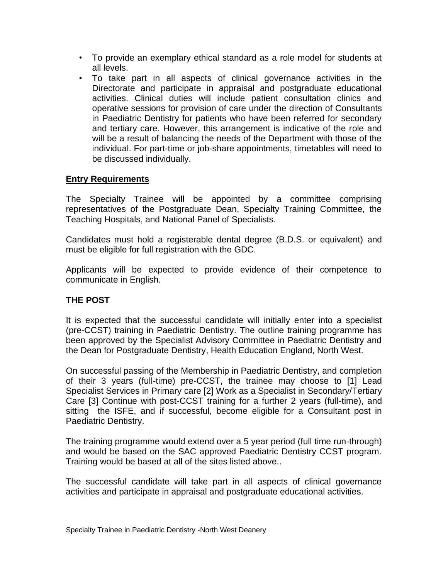- To provide an exemplary ethical standard as a role model for students at all levels.
- To take part in all aspects of clinical governance activities in the Directorate and participate in appraisal and postgraduate educational activities. Clinical duties will include patient consultation clinics and operative sessions for provision of care under the direction of Consultants in Paediatric Dentistry for patients who have been referred for secondary and tertiary care. However, this arrangement is indicative of the role and will be a result of balancing the needs of the Department with those of the individual. For part-time or job-share appointments, timetables will need to be discussed individually.

## **Entry Requirements**

The Specialty Trainee will be appointed by a committee comprising representatives of the Postgraduate Dean, Specialty Training Committee, the Teaching Hospitals, and National Panel of Specialists.

Candidates must hold a registerable dental degree (B.D.S. or equivalent) and must be eligible for full registration with the GDC.

Applicants will be expected to provide evidence of their competence to communicate in English.

## **THE POST**

It is expected that the successful candidate will initially enter into a specialist (pre-CCST) training in Paediatric Dentistry. The outline training programme has been approved by the Specialist Advisory Committee in Paediatric Dentistry and the Dean for Postgraduate Dentistry, Health Education England, North West.

On successful passing of the Membership in Paediatric Dentistry, and completion of their 3 years (full-time) pre-CCST, the trainee may choose to [1] Lead Specialist Services in Primary care [2] Work as a Specialist in Secondary/Tertiary Care [3] Continue with post-CCST training for a further 2 years (full-time), and sitting the ISFE, and if successful, become eligible for a Consultant post in Paediatric Dentistry.

The training programme would extend over a 5 year period (full time run-through) and would be based on the SAC approved Paediatric Dentistry CCST program. Training would be based at all of the sites listed above..

The successful candidate will take part in all aspects of clinical governance activities and participate in appraisal and postgraduate educational activities.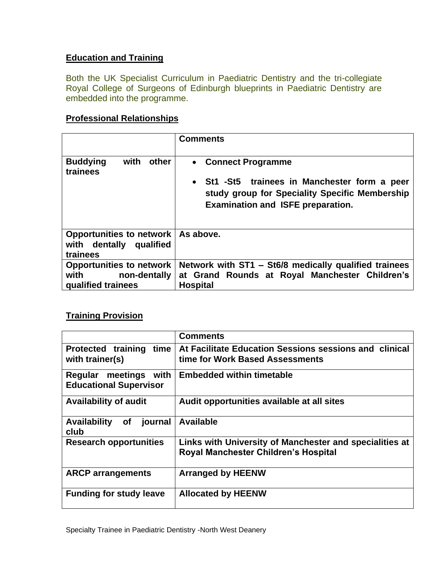# **Education and Training**

Both the UK Specialist Curriculum in Paediatric Dentistry and the tri-collegiate Royal College of Surgeons of Edinburgh blueprints in Paediatric Dentistry are embedded into the programme.

### **Professional Relationships**

|                                                                               | <b>Comments</b>                                                                                                                                                       |
|-------------------------------------------------------------------------------|-----------------------------------------------------------------------------------------------------------------------------------------------------------------------|
| <b>Buddying</b><br>with<br>other<br>trainees                                  | <b>Connect Programme</b><br>St1 -St5 trainees in Manchester form a peer<br>study group for Speciality Specific Membership<br><b>Examination and ISFE preparation.</b> |
| Opportunities to network<br>with dentally qualified<br>trainees               | As above.                                                                                                                                                             |
| <b>Opportunities to network</b><br>with<br>non-dentally<br>qualified trainees | Network with ST1 - St6/8 medically qualified trainees<br>at Grand Rounds at Royal Manchester Children's<br><b>Hospital</b>                                            |

# **Training Provision**

|                                                           | <b>Comments</b>                                                                                        |  |
|-----------------------------------------------------------|--------------------------------------------------------------------------------------------------------|--|
| <b>Protected training</b><br>time<br>with trainer(s)      | At Facilitate Education Sessions sessions and clinical<br>time for Work Based Assessments              |  |
| meetings with<br>Regular<br><b>Educational Supervisor</b> | <b>Embedded within timetable</b>                                                                       |  |
| <b>Availability of audit</b>                              | Audit opportunities available at all sites                                                             |  |
| <b>Availability</b><br>of<br>journal<br>club              | <b>Available</b>                                                                                       |  |
| <b>Research opportunities</b>                             | Links with University of Manchester and specialities at<br><b>Royal Manchester Children's Hospital</b> |  |
| <b>ARCP</b> arrangements                                  | <b>Arranged by HEENW</b>                                                                               |  |
| <b>Funding for study leave</b>                            | <b>Allocated by HEENW</b>                                                                              |  |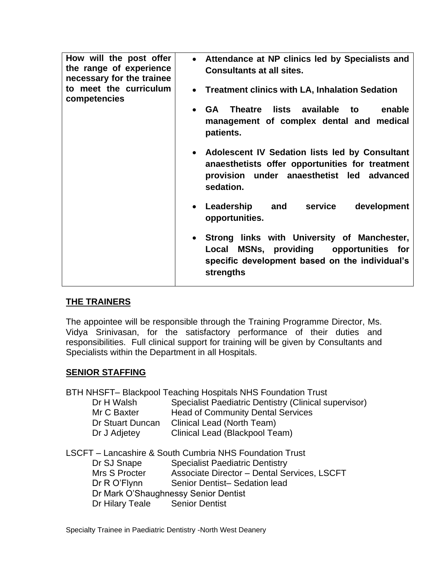| How will the post offer<br>the range of experience<br>necessary for the trainee<br>to meet the curriculum<br>competencies | Attendance at NP clinics led by Specialists and<br>$\bullet$<br><b>Consultants at all sites.</b><br><b>Treatment clinics with LA, Inhalation Sedation</b><br>$\bullet$<br>lists available to<br><b>GA</b> Theatre<br>enable |
|---------------------------------------------------------------------------------------------------------------------------|-----------------------------------------------------------------------------------------------------------------------------------------------------------------------------------------------------------------------------|
|                                                                                                                           | management of complex dental and medical<br>patients.                                                                                                                                                                       |
|                                                                                                                           | Adolescent IV Sedation lists led by Consultant<br>$\bullet$<br>anaesthetists offer opportunities for treatment<br>provision under anaesthetist led advanced<br>sedation.                                                    |
|                                                                                                                           | Leadership<br>and<br>service<br>development<br>$\bullet$<br>opportunities.                                                                                                                                                  |
|                                                                                                                           | Strong links with University of Manchester,<br>MSNs, providing opportunities for<br>Local<br>specific development based on the individual's<br>strengths                                                                    |

## **THE TRAINERS**

The appointee will be responsible through the Training Programme Director, Ms. Vidya Srinivasan, for the satisfactory performance of their duties and responsibilities. Full clinical support for training will be given by Consultants and Specialists within the Department in all Hospitals.

## **SENIOR STAFFING**

BTH NHSFT– Blackpool Teaching Hospitals NHS Foundation Trust

| Specialist Paediatric Dentistry (Clinical supervisor) |
|-------------------------------------------------------|
| <b>Head of Community Dental Services</b>              |
| Clinical Lead (North Team)                            |
| Clinical Lead (Blackpool Team)                        |
|                                                       |

LSCFT – Lancashire & South Cumbria NHS Foundation Trust Dr SJ Snape Specialist Paediatric Dentistry Mrs S Procter Associate Director – Dental Services, LSCFT Dr R O'Flynn Senior Dentist-Sedation lead Dr Mark O'Shaughnessy Senior Dentist Dr Hilary Teale Senior Dentist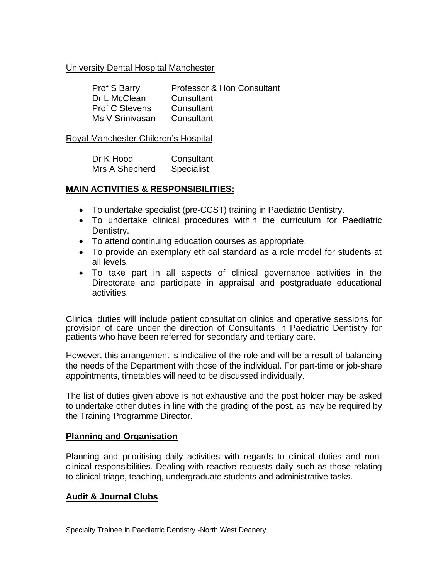### University Dental Hospital Manchester

| <b>Prof S Barry</b>   | Professor & Hon Consultant |
|-----------------------|----------------------------|
| Dr L McClean          | Consultant                 |
| <b>Prof C Stevens</b> | Consultant                 |
| Ms V Srinivasan       | Consultant                 |

#### Royal Manchester Children's Hospital

| Dr K Hood      | Consultant        |  |
|----------------|-------------------|--|
| Mrs A Shepherd | <b>Specialist</b> |  |

### **MAIN ACTIVITIES & RESPONSIBILITIES:**

- To undertake specialist (pre-CCST) training in Paediatric Dentistry.
- To undertake clinical procedures within the curriculum for Paediatric Dentistry.
- To attend continuing education courses as appropriate.
- To provide an exemplary ethical standard as a role model for students at all levels.
- To take part in all aspects of clinical governance activities in the Directorate and participate in appraisal and postgraduate educational activities.

Clinical duties will include patient consultation clinics and operative sessions for provision of care under the direction of Consultants in Paediatric Dentistry for patients who have been referred for secondary and tertiary care.

However, this arrangement is indicative of the role and will be a result of balancing the needs of the Department with those of the individual. For part-time or job-share appointments, timetables will need to be discussed individually.

The list of duties given above is not exhaustive and the post holder may be asked to undertake other duties in line with the grading of the post, as may be required by the Training Programme Director.

#### **Planning and Organisation**

Planning and prioritising daily activities with regards to clinical duties and nonclinical responsibilities. Dealing with reactive requests daily such as those relating to clinical triage, teaching, undergraduate students and administrative tasks.

### **Audit & Journal Clubs**

Specialty Trainee in Paediatric Dentistry -North West Deanery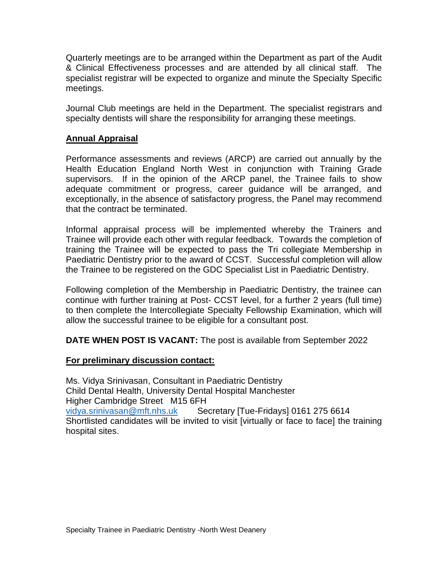Quarterly meetings are to be arranged within the Department as part of the Audit & Clinical Effectiveness processes and are attended by all clinical staff. The specialist registrar will be expected to organize and minute the Specialty Specific meetings.

Journal Club meetings are held in the Department. The specialist registrars and specialty dentists will share the responsibility for arranging these meetings.

### **Annual Appraisal**

Performance assessments and reviews (ARCP) are carried out annually by the Health Education England North West in conjunction with Training Grade supervisors. If in the opinion of the ARCP panel, the Trainee fails to show adequate commitment or progress, career guidance will be arranged, and exceptionally, in the absence of satisfactory progress, the Panel may recommend that the contract be terminated.

Informal appraisal process will be implemented whereby the Trainers and Trainee will provide each other with regular feedback. Towards the completion of training the Trainee will be expected to pass the Tri collegiate Membership in Paediatric Dentistry prior to the award of CCST. Successful completion will allow the Trainee to be registered on the GDC Specialist List in Paediatric Dentistry.

Following completion of the Membership in Paediatric Dentistry, the trainee can continue with further training at Post- CCST level, for a further 2 years (full time) to then complete the Intercollegiate Specialty Fellowship Examination, which will allow the successful trainee to be eligible for a consultant post.

**DATE WHEN POST IS VACANT:** The post is available from September 2022

### **For preliminary discussion contact:**

Ms. Vidya Srinivasan, Consultant in Paediatric Dentistry Child Dental Health, University Dental Hospital Manchester Higher Cambridge Street M15 6FH [vidya.srinivasan@mft.nhs.uk](mailto:vidya.srinivasan@mft.nhs.uk) Secretary [Tue-Fridays] 0161 275 6614 Shortlisted candidates will be invited to visit [virtually or face to face] the training hospital sites.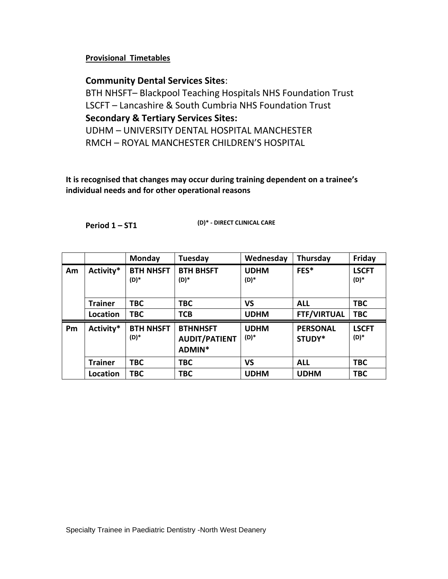#### **Provisional Timetables**

## **Community Dental Services Sites**:

BTH NHSFT– Blackpool Teaching Hospitals NHS Foundation Trust LSCFT – Lancashire & South Cumbria NHS Foundation Trust **Secondary & Tertiary Services Sites:** UDHM – UNIVERSITY DENTAL HOSPITAL MANCHESTER RMCH – ROYAL MANCHESTER CHILDREN'S HOSPITAL

**It is recognised that changes may occur during training dependent on a trainee's individual needs and for other operational reasons**

**Period 1 – ST1 (D)\* - DIRECT CLINICAL CARE**

|    |                | Monday                   | Tuesday                                           | Wednesday           | Thursday                  | Friday                 |
|----|----------------|--------------------------|---------------------------------------------------|---------------------|---------------------------|------------------------|
| Am | Activity*      | <b>BTH NHSFT</b><br>(D)* | <b>BTH BHSFT</b><br>(D)*                          | <b>UDHM</b><br>(D)* | FES*                      | <b>LSCFT</b><br>$(D)*$ |
|    | <b>Trainer</b> | <b>TBC</b>               | <b>TBC</b>                                        | <b>VS</b>           | <b>ALL</b>                | <b>TBC</b>             |
|    | Location       | <b>TBC</b>               | <b>TCB</b>                                        | <b>UDHM</b>         | <b>FTF/VIRTUAL</b>        | <b>TBC</b>             |
| Pm | Activity*      | <b>BTH NHSFT</b><br>(D)* | <b>BTHNHSFT</b><br><b>AUDIT/PATIENT</b><br>ADMIN* | <b>UDHM</b><br>(D)* | <b>PERSONAL</b><br>STUDY* | <b>LSCFT</b><br>(D)*   |
|    | <b>Trainer</b> | <b>TBC</b>               | <b>TBC</b>                                        | <b>VS</b>           | <b>ALL</b>                | <b>TBC</b>             |
|    | Location       | <b>TBC</b>               | <b>TBC</b>                                        | <b>UDHM</b>         | <b>UDHM</b>               | <b>TBC</b>             |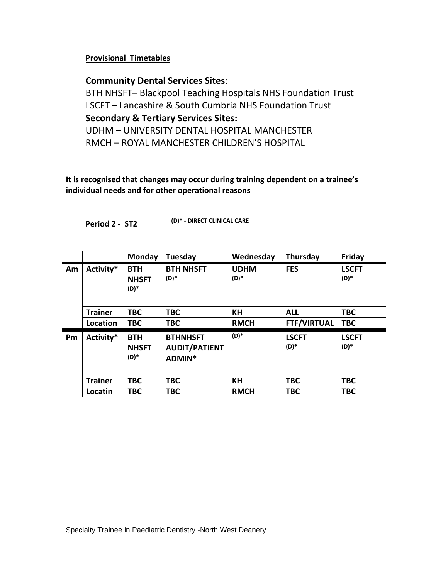**Provisional Timetables**

# **Community Dental Services Sites**:

BTH NHSFT– Blackpool Teaching Hospitals NHS Foundation Trust LSCFT – Lancashire & South Cumbria NHS Foundation Trust **Secondary & Tertiary Services Sites:** UDHM – UNIVERSITY DENTAL HOSPITAL MANCHESTER RMCH – ROYAL MANCHESTER CHILDREN'S HOSPITAL

**It is recognised that changes may occur during training dependent on a trainee's individual needs and for other operational reasons**

**Period 2 - ST2 (D)\* - DIRECT CLINICAL CARE**

|    |                 | Monday                             | <b>Tuesday</b>                                    | Wednesday             | Thursday             | Friday               |
|----|-----------------|------------------------------------|---------------------------------------------------|-----------------------|----------------------|----------------------|
| Am | Activity*       | <b>BTH</b><br><b>NHSFT</b><br>(D)* | <b>BTH NHSFT</b><br>(D)*                          | <b>UDHM</b><br>$(D)*$ | <b>FES</b>           | <b>LSCFT</b><br>(D)* |
|    | <b>Trainer</b>  | <b>TBC</b>                         | <b>TBC</b>                                        | KH                    | <b>ALL</b>           | <b>TBC</b>           |
|    | <b>Location</b> | <b>TBC</b>                         | <b>TBC</b>                                        | <b>RMCH</b>           | <b>FTF/VIRTUAL</b>   | <b>TBC</b>           |
| Pm | Activity*       | <b>BTH</b><br><b>NHSFT</b><br>(D)* | <b>BTHNHSFT</b><br><b>AUDIT/PATIENT</b><br>ADMIN* | $(D)*$                | <b>LSCFT</b><br>(D)* | <b>LSCFT</b><br>(D)* |
|    | <b>Trainer</b>  | <b>TBC</b>                         | <b>TBC</b>                                        | <b>KH</b>             | <b>TBC</b>           | <b>TBC</b>           |
|    | Locatin         | <b>TBC</b>                         | TBC                                               | <b>RMCH</b>           | <b>TBC</b>           | <b>TBC</b>           |